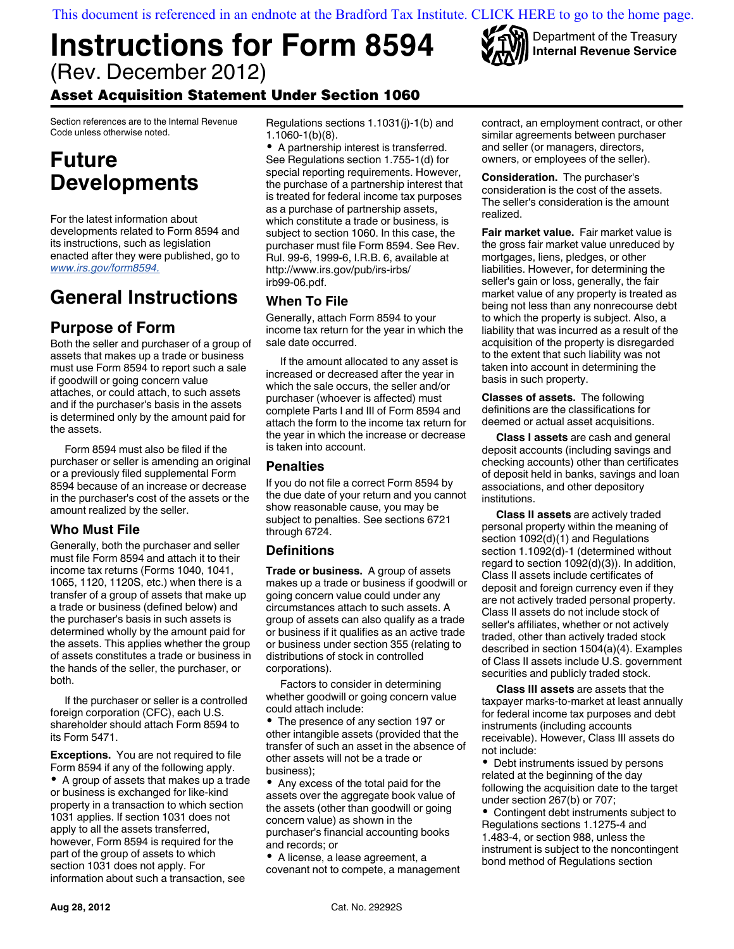[This document is referenced in an endnote at the Bradford Tax Institute. CLICK HERE to go to the home page.](bradfordtaxinstitute.com)

# **Instructions for Form 8594** (Rev. December 2012)



Section references are to the Internal Revenue Code unless otherwise noted.

## **Future Developments**

For the latest information about developments related to Form 8594 and its instructions, such as legislation enacted after they were published, go to *[www.irs.gov/form8594.](http://www.irs.gov/form8594)* 

### **General Instructions**

### **Purpose of Form**

Both the seller and purchaser of a group of assets that makes up a trade or business must use Form 8594 to report such a sale if goodwill or going concern value attaches, or could attach, to such assets and if the purchaser's basis in the assets is determined only by the amount paid for the assets.

Form 8594 must also be filed if the purchaser or seller is amending an original or a previously filed supplemental Form 8594 because of an increase or decrease in the purchaser's cost of the assets or the amount realized by the seller.

#### **Who Must File**

Generally, both the purchaser and seller must file Form 8594 and attach it to their income tax returns (Forms 1040, 1041, 1065, 1120, 1120S, etc.) when there is a transfer of a group of assets that make up a trade or business (defined below) and the purchaser's basis in such assets is determined wholly by the amount paid for the assets. This applies whether the group of assets constitutes a trade or business in the hands of the seller, the purchaser, or both.

If the purchaser or seller is a controlled foreign corporation (CFC), each U.S. shareholder should attach Form 8594 to its Form 5471.

**Exceptions.** You are not required to file Form 8594 if any of the following apply.

A group of assets that makes up a trade or business is exchanged for like-kind property in a transaction to which section 1031 applies. If section 1031 does not apply to all the assets transferred, however, Form 8594 is required for the part of the group of assets to which section 1031 does not apply. For information about such a transaction, see

Regulations sections 1.1031(j)-1(b) and 1.1060-1(b)(8).

A partnership interest is transferred. See Regulations section 1.755-1(d) for special reporting requirements. However, the purchase of a partnership interest that is treated for federal income tax purposes as a purchase of partnership assets, which constitute a trade or business, is subject to section 1060. In this case, the purchaser must file Form 8594. See Rev. Rul. 99-6, 1999-6, I.R.B. 6, available at http://www.irs.gov/pub/irs-irbs/ irb99-06.pdf.

#### **When To File**

Generally, attach Form 8594 to your income tax return for the year in which the sale date occurred.

If the amount allocated to any asset is increased or decreased after the year in which the sale occurs, the seller and/or purchaser (whoever is affected) must complete Parts I and III of Form 8594 and attach the form to the income tax return for the year in which the increase or decrease is taken into account.

#### **Penalties**

If you do not file a correct Form 8594 by the due date of your return and you cannot show reasonable cause, you may be subject to penalties. See sections 6721 through 6724.

#### **Definitions**

**Trade or business.** A group of assets makes up a trade or business if goodwill or going concern value could under any circumstances attach to such assets. A group of assets can also qualify as a trade or business if it qualifies as an active trade or business under section 355 (relating to distributions of stock in controlled corporations).

Factors to consider in determining whether goodwill or going concern value could attach include:

The presence of any section 197 or other intangible assets (provided that the transfer of such an asset in the absence of other assets will not be a trade or business);

Any excess of the total paid for the assets over the aggregate book value of the assets (other than goodwill or going concern value) as shown in the purchaser's financial accounting books and records; or

A license, a lease agreement, a covenant not to compete, a management contract, an employment contract, or other similar agreements between purchaser and seller (or managers, directors, owners, or employees of the seller).

Department of the Treasury **Internal Revenue Service**

**Consideration.** The purchaser's consideration is the cost of the assets. The seller's consideration is the amount realized.

**Fair market value.** Fair market value is the gross fair market value unreduced by mortgages, liens, pledges, or other liabilities. However, for determining the seller's gain or loss, generally, the fair market value of any property is treated as being not less than any nonrecourse debt to which the property is subject. Also, a liability that was incurred as a result of the acquisition of the property is disregarded to the extent that such liability was not taken into account in determining the basis in such property.

**Classes of assets.** The following definitions are the classifications for deemed or actual asset acquisitions.

**Class I assets** are cash and general deposit accounts (including savings and checking accounts) other than certificates of deposit held in banks, savings and loan associations, and other depository institutions.

**Class II assets** are actively traded personal property within the meaning of section 1092(d)(1) and Regulations section 1.1092(d)-1 (determined without regard to section 1092(d)(3)). In addition, Class II assets include certificates of deposit and foreign currency even if they are not actively traded personal property. Class II assets do not include stock of seller's affiliates, whether or not actively traded, other than actively traded stock described in section 1504(a)(4). Examples of Class II assets include U.S. government securities and publicly traded stock.

**Class III assets** are assets that the taxpayer marks-to-market at least annually for federal income tax purposes and debt instruments (including accounts receivable). However, Class III assets do not include:

Debt instruments issued by persons related at the beginning of the day following the acquisition date to the target under section 267(b) or 707;

Contingent debt instruments subject to Regulations sections 1.1275-4 and 1.483-4, or section 988, unless the instrument is subject to the noncontingent bond method of Regulations section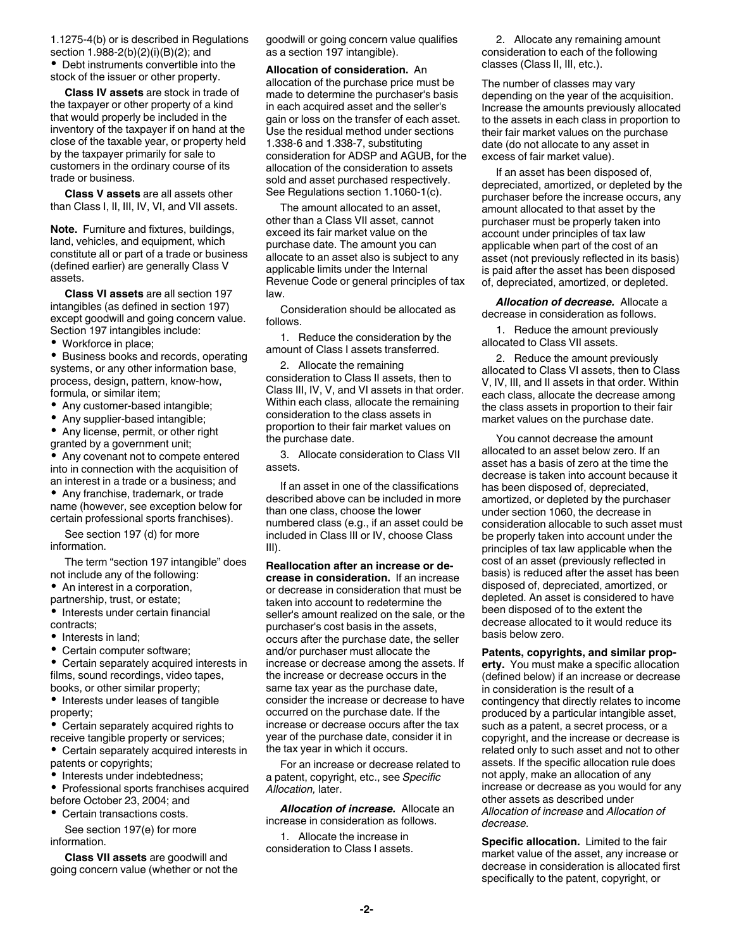1.1275-4(b) or is described in Regulations section 1.988-2(b)(2)(i)(B)(2); and

Debt instruments convertible into the stock of the issuer or other property.

**Class IV assets** are stock in trade of the taxpayer or other property of a kind that would properly be included in the inventory of the taxpayer if on hand at the close of the taxable year, or property held by the taxpayer primarily for sale to customers in the ordinary course of its trade or business.

**Class V assets** are all assets other than Class I, II, III, IV, VI, and VII assets.

**Note.** Furniture and fixtures, buildings, land, vehicles, and equipment, which constitute all or part of a trade or business (defined earlier) are generally Class V assets.

**Class VI assets** are all section 197 intangibles (as defined in section 197) except goodwill and going concern value. Section 197 intangibles include:

• Workforce in place;

**•** Business books and records, operating systems, or any other information base, process, design, pattern, know-how, formula, or similar item;

- Any customer-based intangible;
- Any supplier-based intangible;
- Any license, permit, or other right granted by a government unit;

Any covenant not to compete entered into in connection with the acquisition of an interest in a trade or a business; and

Any franchise, trademark, or trade name (however, see exception below for certain professional sports franchises).

See section 197 (d) for more information.

The term "section 197 intangible" does not include any of the following:

An interest in a corporation,

partnership, trust, or estate;

 $\bullet$  Interests under certain financial contracts;

- Interests in land;
- Certain computer software;

Certain separately acquired interests in films, sound recordings, video tapes, books, or other similar property;

• Interests under leases of tangible property;

Certain separately acquired rights to receive tangible property or services;

Certain separately acquired interests in patents or copyrights;

• Interests under indebtedness;

Professional sports franchises acquired before October 23, 2004; and

Certain transactions costs.

See section 197(e) for more information.

**Class VII assets** are goodwill and going concern value (whether or not the goodwill or going concern value qualifies as a section 197 intangible).

**Allocation of consideration.** An allocation of the purchase price must be made to determine the purchaser's basis in each acquired asset and the seller's gain or loss on the transfer of each asset. Use the residual method under sections 1.338-6 and 1.338-7, substituting consideration for ADSP and AGUB, for the allocation of the consideration to assets sold and asset purchased respectively. See Regulations section 1.1060-1(c).

The amount allocated to an asset, other than a Class VII asset, cannot exceed its fair market value on the purchase date. The amount you can allocate to an asset also is subject to any applicable limits under the Internal Revenue Code or general principles of tax law.

Consideration should be allocated as follows.

1. Reduce the consideration by the amount of Class I assets transferred.

2. Allocate the remaining consideration to Class II assets, then to Class III, IV, V, and VI assets in that order. Within each class, allocate the remaining consideration to the class assets in proportion to their fair market values on the purchase date.

3. Allocate consideration to Class VII assets.

If an asset in one of the classifications described above can be included in more than one class, choose the lower numbered class (e.g., if an asset could be included in Class III or IV, choose Class III).

**Reallocation after an increase or decrease in consideration.** If an increase or decrease in consideration that must be taken into account to redetermine the seller's amount realized on the sale, or the purchaser's cost basis in the assets, occurs after the purchase date, the seller and/or purchaser must allocate the increase or decrease among the assets. If the increase or decrease occurs in the same tax year as the purchase date, consider the increase or decrease to have occurred on the purchase date. If the increase or decrease occurs after the tax year of the purchase date, consider it in the tax year in which it occurs.

For an increase or decrease related to a patent, copyright, etc., see *Specific Allocation,* later.

*Allocation of increase.* Allocate an increase in consideration as follows.

1. Allocate the increase in consideration to Class I assets.

2. Allocate any remaining amount consideration to each of the following classes (Class II, III, etc.).

The number of classes may vary depending on the year of the acquisition. Increase the amounts previously allocated to the assets in each class in proportion to their fair market values on the purchase date (do not allocate to any asset in excess of fair market value).

If an asset has been disposed of, depreciated, amortized, or depleted by the purchaser before the increase occurs, any amount allocated to that asset by the purchaser must be properly taken into account under principles of tax law applicable when part of the cost of an asset (not previously reflected in its basis) is paid after the asset has been disposed of, depreciated, amortized, or depleted.

*Allocation of decrease.* Allocate a decrease in consideration as follows.

1. Reduce the amount previously allocated to Class VII assets.

2. Reduce the amount previously allocated to Class VI assets, then to Class V, IV, III, and II assets in that order. Within each class, allocate the decrease among the class assets in proportion to their fair market values on the purchase date.

You cannot decrease the amount allocated to an asset below zero. If an asset has a basis of zero at the time the decrease is taken into account because it has been disposed of, depreciated, amortized, or depleted by the purchaser under section 1060, the decrease in consideration allocable to such asset must be properly taken into account under the principles of tax law applicable when the cost of an asset (previously reflected in basis) is reduced after the asset has been disposed of, depreciated, amortized, or depleted. An asset is considered to have been disposed of to the extent the decrease allocated to it would reduce its basis below zero.

**Patents, copyrights, and similar property.** You must make a specific allocation (defined below) if an increase or decrease in consideration is the result of a contingency that directly relates to income produced by a particular intangible asset, such as a patent, a secret process, or a copyright, and the increase or decrease is related only to such asset and not to other assets. If the specific allocation rule does not apply, make an allocation of any increase or decrease as you would for any other assets as described under *Allocation of increase* and *Allocation of decrease.*

**Specific allocation.** Limited to the fair market value of the asset, any increase or decrease in consideration is allocated first specifically to the patent, copyright, or